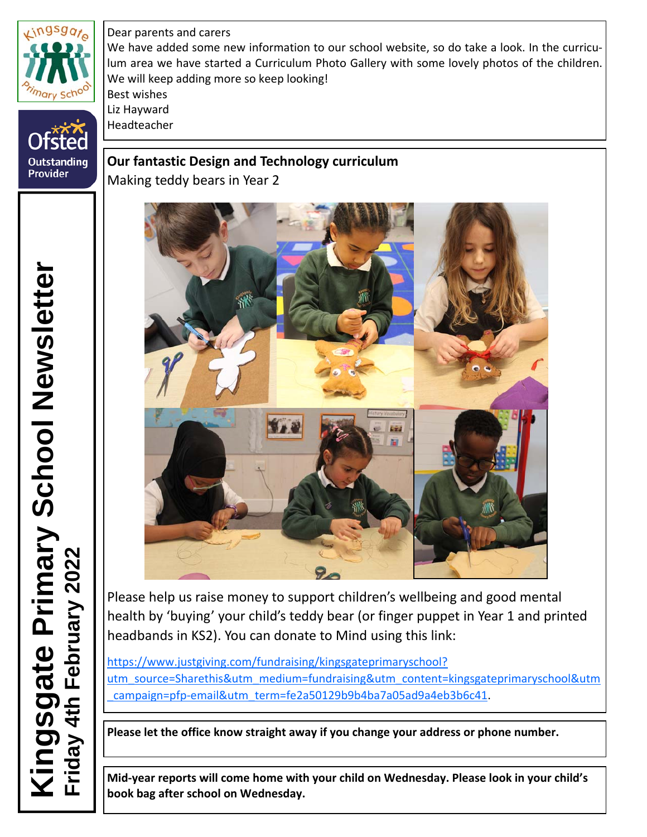

**Outstanding**<br>Provider

Dear parents and carers We have added some new information to our school website, so do take a look. In the curriculum area we have started a Curriculum Photo Gallery with some lovely photos of the children. We will keep adding more so keep looking! Best wishes Liz Hayward Headteacher

**Our fantastic Design and Technology curriculum** Making teddy bears in Year 2



Please help us raise money to support children's wellbeing and good mental health by 'buying' your child's teddy bear (or finger puppet in Year 1 and printed headbands in KS2). You can donate to Mind using this link:

[https://www.justgiving.com/fundraising/kingsgateprimaryschool?](https://www.justgiving.com/fundraising/kingsgateprimaryschool?utm_source=Sharethis&utm_medium=fundraising&utm_content=kingsgateprimaryschool&utm_campaign=pfp-email&utm_term=fe2a50129b9b4ba7a05ad9a4eb3b6c41) [utm\\_source=Sharethis&utm\\_medium=fundraising&utm\\_content=kingsgateprimaryschool&utm](https://www.justgiving.com/fundraising/kingsgateprimaryschool?utm_source=Sharethis&utm_medium=fundraising&utm_content=kingsgateprimaryschool&utm_campaign=pfp-email&utm_term=fe2a50129b9b4ba7a05ad9a4eb3b6c41) \_campaign=pfp‐[email&utm\\_term=fe2a50129b9b4ba7a05ad9a4eb3b6c41](https://www.justgiving.com/fundraising/kingsgateprimaryschool?utm_source=Sharethis&utm_medium=fundraising&utm_content=kingsgateprimaryschool&utm_campaign=pfp-email&utm_term=fe2a50129b9b4ba7a05ad9a4eb3b6c41).

**Please let the office know straight away if you change your address or phone number.**

**Mid‐year reports will come home with your child on Wednesday. Please look in your child's book bag after school on Wednesday.**

 **Kingsgate Primary School Newsletter**  ingsgate Primary School Newsletter<br>iday 4th February 2022 **Friday 4th February 2022**